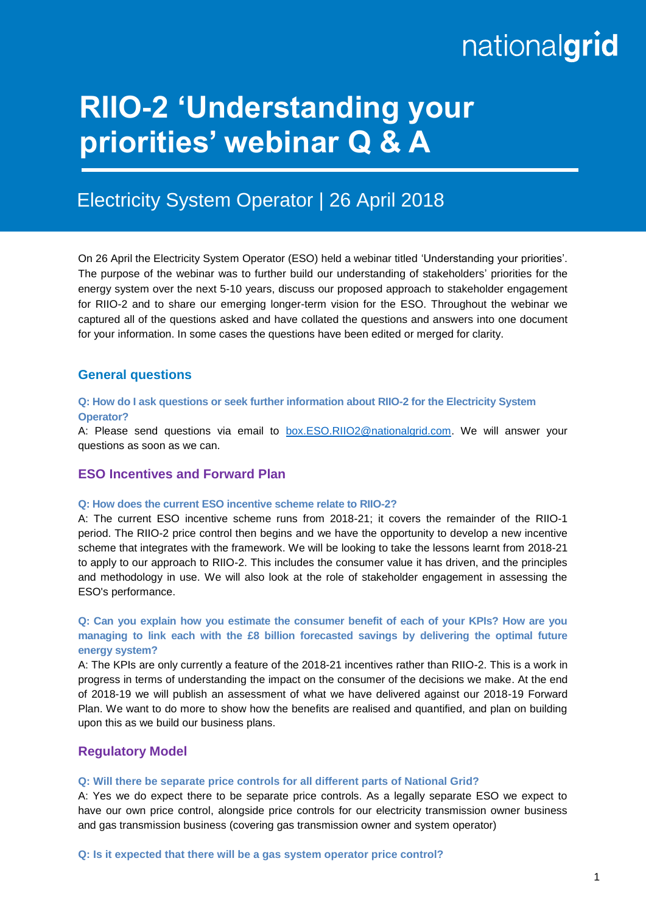# nationalgrid

## **RIIO-2 'Understanding your priorities' webinar Q & A**

### Electricity System Operator | 26 April 2018

On 26 April the Electricity System Operator (ESO) held a webinar titled 'Understanding your priorities'. The purpose of the webinar was to further build our understanding of stakeholders' priorities for the energy system over the next 5-10 years, discuss our proposed approach to stakeholder engagement for RIIO-2 and to share our emerging longer-term vision for the ESO. Throughout the webinar we captured all of the questions asked and have collated the questions and answers into one document for your information. In some cases the questions have been edited or merged for clarity.

#### **General questions**

#### **Q: How do I ask questions or seek further information about RIIO-2 for the Electricity System Operator?**

A: Please send questions via email to [box.ESO.RIIO2@nationalgrid.com.](mailto:box.ESO.RIIO2@nationalgrid.com) We will answer your questions as soon as we can.

#### **ESO Incentives and Forward Plan**

#### **Q: How does the current ESO incentive scheme relate to RIIO-2?**

A: The current ESO incentive scheme runs from 2018-21; it covers the remainder of the RIIO-1 period. The RIIO-2 price control then begins and we have the opportunity to develop a new incentive scheme that integrates with the framework. We will be looking to take the lessons learnt from 2018-21 to apply to our approach to RIIO-2. This includes the consumer value it has driven, and the principles and methodology in use. We will also look at the role of stakeholder engagement in assessing the ESO's performance.

**Q: Can you explain how you estimate the consumer benefit of each of your KPIs? How are you managing to link each with the £8 billion forecasted savings by delivering the optimal future energy system?**

A: The KPIs are only currently a feature of the 2018-21 incentives rather than RIIO-2. This is a work in progress in terms of understanding the impact on the consumer of the decisions we make. At the end of 2018-19 we will publish an assessment of what we have delivered against our 2018-19 Forward Plan. We want to do more to show how the benefits are realised and quantified, and plan on building upon this as we build our business plans.

#### **Regulatory Model**

#### **Q: Will there be separate price controls for all different parts of National Grid?**

A: Yes we do expect there to be separate price controls. As a legally separate ESO we expect to have our own price control, alongside price controls for our electricity transmission owner business and gas transmission business (covering gas transmission owner and system operator)

**Q: Is it expected that there will be a gas system operator price control?**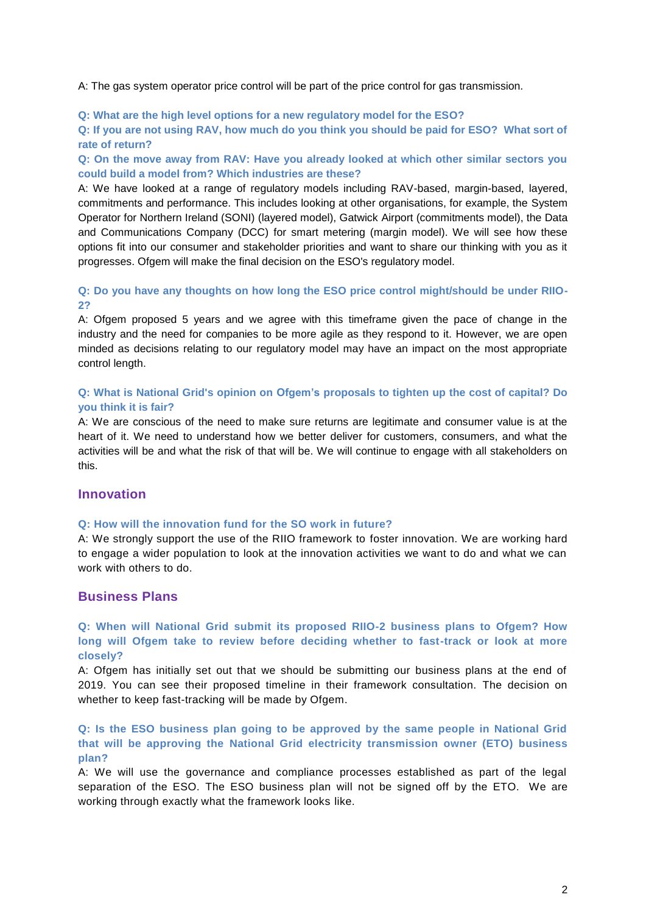A: The gas system operator price control will be part of the price control for gas transmission.

**Q: What are the high level options for a new regulatory model for the ESO?**

**Q: If you are not using RAV, how much do you think you should be paid for ESO? What sort of rate of return?**

**Q: On the move away from RAV: Have you already looked at which other similar sectors you could build a model from? Which industries are these?**

A: We have looked at a range of regulatory models including RAV-based, margin-based, layered, commitments and performance. This includes looking at other organisations, for example, the System Operator for Northern Ireland (SONI) (layered model), Gatwick Airport (commitments model), the Data and Communications Company (DCC) for smart metering (margin model). We will see how these options fit into our consumer and stakeholder priorities and want to share our thinking with you as it progresses. Ofgem will make the final decision on the ESO's regulatory model.

#### **Q: Do you have any thoughts on how long the ESO price control might/should be under RIIO-2?**

A: Ofgem proposed 5 years and we agree with this timeframe given the pace of change in the industry and the need for companies to be more agile as they respond to it. However, we are open minded as decisions relating to our regulatory model may have an impact on the most appropriate control length.

#### **Q: What is National Grid's opinion on Ofgem's proposals to tighten up the cost of capital? Do you think it is fair?**

A: We are conscious of the need to make sure returns are legitimate and consumer value is at the heart of it. We need to understand how we better deliver for customers, consumers, and what the activities will be and what the risk of that will be. We will continue to engage with all stakeholders on this.

#### **Innovation**

#### **Q: How will the innovation fund for the SO work in future?**

A: We strongly support the use of the RIIO framework to foster innovation. We are working hard to engage a wider population to look at the innovation activities we want to do and what we can work with others to do.

#### **Business Plans**

**Q: When will National Grid submit its proposed RIIO-2 business plans to Ofgem? How long will Ofgem take to review before deciding whether to fast-track or look at more closely?** 

A: Ofgem has initially set out that we should be submitting our business plans at the end of 2019. You can see their proposed timeline in their framework consultation. The decision on whether to keep fast-tracking will be made by Ofgem.

**Q: Is the ESO business plan going to be approved by the same people in National Grid that will be approving the National Grid electricity transmission owner (ETO) business plan?**

A: We will use the governance and compliance processes established as part of the legal separation of the ESO. The ESO business plan will not be signed off by the ETO. We are working through exactly what the framework looks like.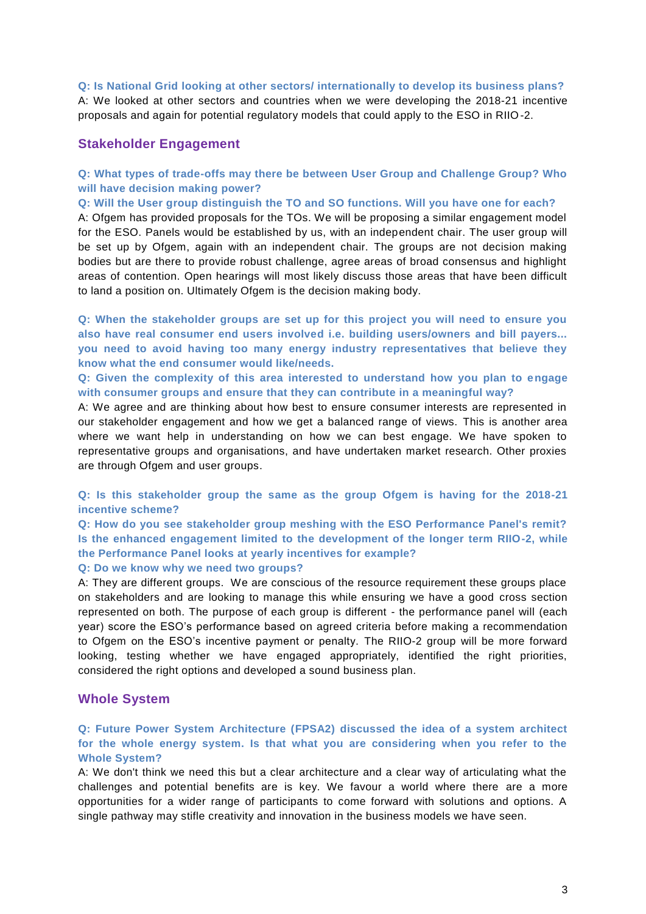#### **Q: Is National Grid looking at other sectors/ internationally to develop its business plans?**

A: We looked at other sectors and countries when we were developing the 2018-21 incentive proposals and again for potential regulatory models that could apply to the ESO in RIIO-2.

#### **Stakeholder Engagement**

#### **Q: What types of trade-offs may there be between User Group and Challenge Group? Who will have decision making power?**

**Q: Will the User group distinguish the TO and SO functions. Will you have one for each?**

A: Ofgem has provided proposals for the TOs. We will be proposing a similar engagement model for the ESO. Panels would be established by us, with an independent chair. The user group will be set up by Ofgem, again with an independent chair. The groups are not decision making bodies but are there to provide robust challenge, agree areas of broad consensus and highlight areas of contention. Open hearings will most likely discuss those areas that have been difficult to land a position on. Ultimately Ofgem is the decision making body.

**Q: When the stakeholder groups are set up for this project you will need to ensure you also have real consumer end users involved i.e. building users/owners and bill payers... you need to avoid having too many energy industry representatives that believe they know what the end consumer would like/needs.**

**Q: Given the complexity of this area interested to understand how you plan to engage with consumer groups and ensure that they can contribute in a meaningful way?**

A: We agree and are thinking about how best to ensure consumer interests are represented in our stakeholder engagement and how we get a balanced range of views. This is another area where we want help in understanding on how we can best engage. We have spoken to representative groups and organisations, and have undertaken market research. Other proxies are through Ofgem and user groups.

**Q: Is this stakeholder group the same as the group Ofgem is having for the 2018-21 incentive scheme?**

**Q: How do you see stakeholder group meshing with the ESO Performance Panel's remit? Is the enhanced engagement limited to the development of the longer term RIIO-2, while the Performance Panel looks at yearly incentives for example?**

#### **Q: Do we know why we need two groups?**

A: They are different groups. We are conscious of the resource requirement these groups place on stakeholders and are looking to manage this while ensuring we have a good cross section represented on both. The purpose of each group is different - the performance panel will (each year) score the ESO's performance based on agreed criteria before making a recommendation to Ofgem on the ESO's incentive payment or penalty. The RIIO-2 group will be more forward looking, testing whether we have engaged appropriately, identified the right priorities, considered the right options and developed a sound business plan.

#### **Whole System**

#### **Q: Future Power System Architecture (FPSA2) discussed the idea of a system architect for the whole energy system. Is that what you are considering when you refer to the Whole System?**

A: We don't think we need this but a clear architecture and a clear way of articulating what the challenges and potential benefits are is key. We favour a world where there are a more opportunities for a wider range of participants to come forward with solutions and options. A single pathway may stifle creativity and innovation in the business models we have seen.